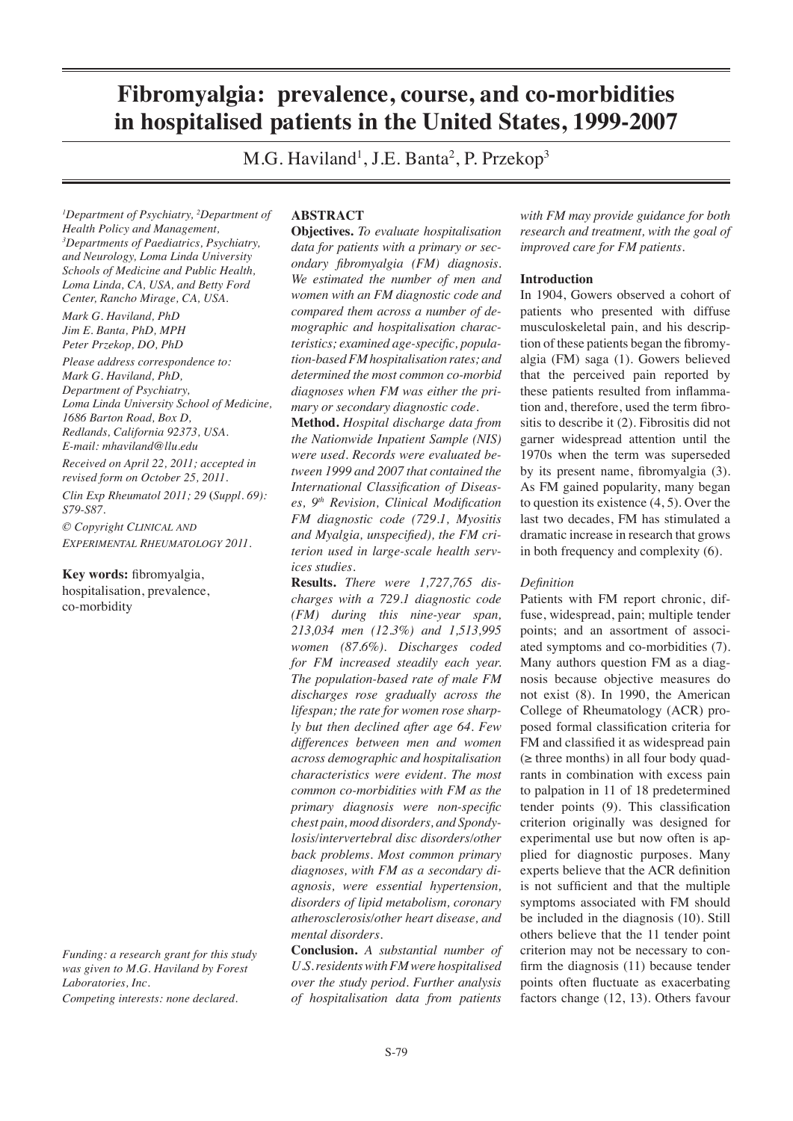# **Fibromyalgia: prevalence, course, and co-morbidities in hospitalised patients in the United States, 1999-2007**

M.G. Haviland<sup>1</sup>, J.E. Banta<sup>2</sup>, P. Przekop<sup>3</sup>

*1 Department of Psychiatry, 2 Department of Health Policy and Management, 3 Departments of Paediatrics, Psychiatry, and Neurology, Loma Linda University Schools of Medicine and Public Health, Loma Linda, CA, USA, and Betty Ford Center, Rancho Mirage, CA, USA.*

*Mark G. Haviland, PhD Jim E. Banta, PhD, MPH Peter Przekop, DO, PhD*

*Please address correspondence to: Mark G. Haviland, PhD, Department of Psychiatry, Loma Linda University School of Medicine, 1686 Barton Road, Box D, Redlands, California 92373, USA. E-mail: mhaviland@llu.edu*

*Received on April 22, 2011; accepted in revised form on October 25, 2011. Clin Exp Rheumatol 2011; 29* **(***Suppl. 69): S79-S87.*

*© Copyright CLINICAL AND EXPERIMENTAL RHEUMATOLOGY 2011.*

**Key words:** fibromyalgia, hospitalisation, prevalence, co-morbidity

*Funding: a research grant for this study was given to M.G. Haviland by Forest Laboratories, Inc.*

*Competing interests: none declared.*

# **ABSTRACT**

**Objectives.** *To evaluate hospitalisation data for patients with a primary or secondary fibromyalgia (FM) diagnosis. We estimated the number of men and women with an FM diagnostic code and compared them across a number of demographic and hospitalisation characteristics; examined age-specific, population-based FM hospitalisation rates; and determined the most common co-morbid diagnoses when FM was either the primary or secondary diagnostic code.*

**Method.** *Hospital discharge data from the Nationwide Inpatient Sample (NIS) were used. Records were evaluated between 1999 and 2007 that contained the International Classification of Diseases, 9th Revision, Clinical Modification FM diagnostic code (729.1, Myositis and Myalgia, unspecified), the FM criterion used in large-scale health services studies.*

**Results.** *There were 1,727,765 discharges with a 729.1 diagnostic code (FM) during this nine-year span, 213,034 men (12.3%) and 1,513,995 women (87.6%). Discharges coded for FM increased steadily each year. The population-based rate of male FM discharges rose gradually across the lifespan; the rate for women rose sharply but then declined after age 64. Few differences between men and women across demographic and hospitalisation characteristics were evident. The most common co-morbidities with FM as the primary diagnosis were non-specific chest pain, mood disorders, and Spondylosis/intervertebral disc disorders/other back problems. Most common primary diagnoses, with FM as a secondary diagnosis, were essential hypertension, disorders of lipid metabolism, coronary atherosclerosis/other heart disease, and mental disorders.*

**Conclusion.** *A substantial number of U.S. residents with FM were hospitalised over the study period. Further analysis of hospitalisation data from patients* 

*with FM may provide guidance for both research and treatment, with the goal of improved care for FM patients.*

#### **Introduction**

In 1904, Gowers observed a cohort of patients who presented with diffuse musculoskeletal pain, and his description of these patients began the fibromyalgia (FM) saga (1). Gowers believed that the perceived pain reported by these patients resulted from inflammation and, therefore, used the term fibrositis to describe it (2). Fibrositis did not garner widespread attention until the 1970s when the term was superseded by its present name, fibromyalgia (3). As FM gained popularity, many began to question its existence (4, 5). Over the last two decades, FM has stimulated a dramatic increase in research that grows in both frequency and complexity (6).

## *Definition*

Patients with FM report chronic, diffuse, widespread, pain; multiple tender points; and an assortment of associated symptoms and co-morbidities (7). Many authors question FM as a diagnosis because objective measures do not exist (8). In 1990, the American College of Rheumatology (ACR) proposed formal classification criteria for FM and classified it as widespread pain  $(\geq)$  three months) in all four body quadrants in combination with excess pain to palpation in 11 of 18 predetermined tender points (9). This classification criterion originally was designed for experimental use but now often is applied for diagnostic purposes. Many experts believe that the ACR definition is not sufficient and that the multiple symptoms associated with FM should be included in the diagnosis (10). Still others believe that the 11 tender point criterion may not be necessary to confirm the diagnosis (11) because tender points often fluctuate as exacerbating factors change (12, 13). Others favour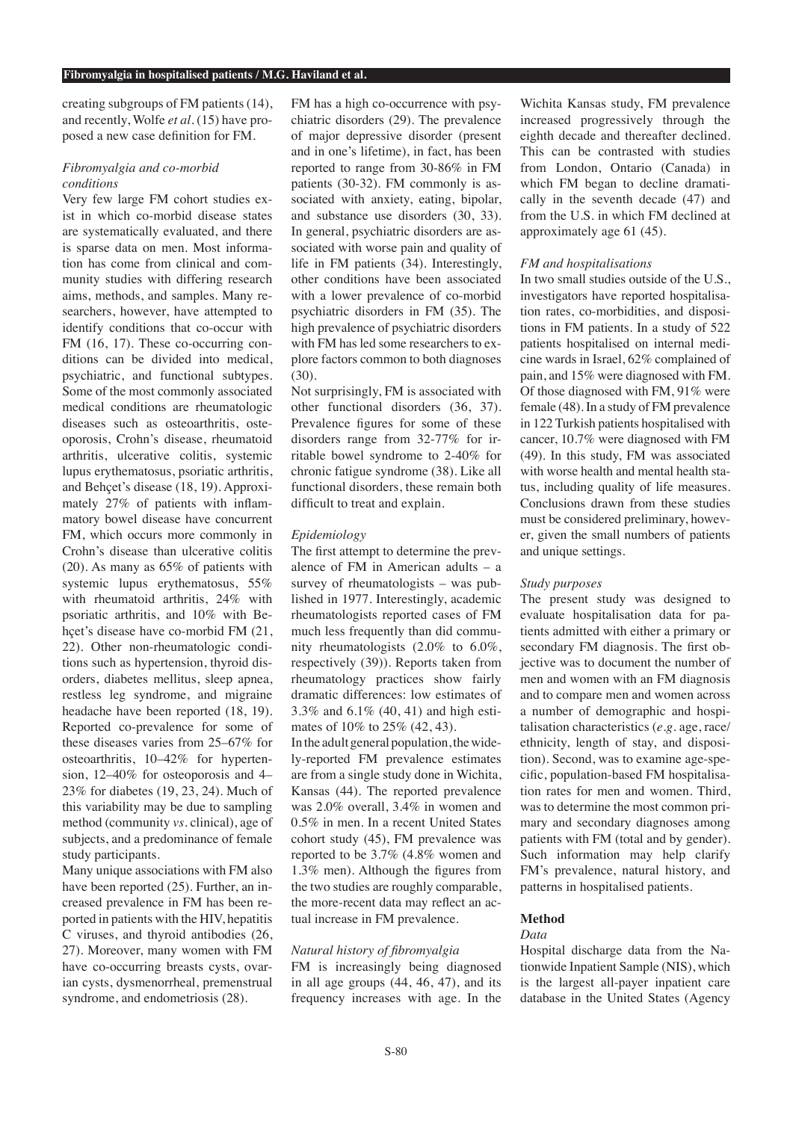creating subgroups of FM patients (14), and recently, Wolfe *et al.* (15) have proposed a new case definition for FM.

# *Fibromyalgia and co-morbid conditions*

Very few large FM cohort studies exist in which co-morbid disease states are systematically evaluated, and there is sparse data on men. Most information has come from clinical and community studies with differing research aims, methods, and samples. Many researchers, however, have attempted to identify conditions that co-occur with FM (16, 17). These co-occurring conditions can be divided into medical, psychiatric, and functional subtypes. Some of the most commonly associated medical conditions are rheumatologic diseases such as osteoarthritis, osteoporosis, Crohn's disease, rheumatoid arthritis, ulcerative colitis, systemic lupus erythematosus, psoriatic arthritis, and Behçet's disease (18, 19). Approximately 27% of patients with inflammatory bowel disease have concurrent FM, which occurs more commonly in Crohn's disease than ulcerative colitis (20). As many as 65% of patients with systemic lupus erythematosus, 55% with rheumatoid arthritis, 24% with psoriatic arthritis, and 10% with Behçet's disease have co-morbid FM (21, 22). Other non-rheumatologic conditions such as hypertension, thyroid disorders, diabetes mellitus, sleep apnea, restless leg syndrome, and migraine headache have been reported (18, 19). Reported co-prevalence for some of these diseases varies from 25–67% for osteoarthritis, 10–42% for hypertension, 12–40% for osteoporosis and 4– 23% for diabetes (19, 23, 24). Much of this variability may be due to sampling method (community *vs.* clinical), age of subjects, and a predominance of female study participants.

Many unique associations with FM also have been reported (25). Further, an increased prevalence in FM has been reported in patients with the HIV, hepatitis C viruses, and thyroid antibodies (26, 27). Moreover, many women with FM have co-occurring breasts cysts, ovarian cysts, dysmenorrheal, premenstrual syndrome, and endometriosis (28).

FM has a high co-occurrence with psychiatric disorders (29). The prevalence of major depressive disorder (present and in one's lifetime), in fact, has been reported to range from 30-86% in FM patients (30-32). FM commonly is associated with anxiety, eating, bipolar, and substance use disorders (30, 33). In general, psychiatric disorders are associated with worse pain and quality of life in FM patients (34). Interestingly, other conditions have been associated with a lower prevalence of co-morbid psychiatric disorders in FM (35). The high prevalence of psychiatric disorders with FM has led some researchers to explore factors common to both diagnoses (30).

Not surprisingly, FM is associated with other functional disorders (36, 37). Prevalence figures for some of these disorders range from 32-77% for irritable bowel syndrome to 2-40% for chronic fatigue syndrome (38). Like all functional disorders, these remain both difficult to treat and explain.

## *Epidemiology*

The first attempt to determine the prevalence of FM in American adults – a survey of rheumatologists – was published in 1977. Interestingly, academic rheumatologists reported cases of FM much less frequently than did community rheumatologists (2.0% to 6.0%, respectively (39)). Reports taken from rheumatology practices show fairly dramatic differences: low estimates of 3.3% and 6.1% (40, 41) and high estimates of 10% to 25% (42, 43).

In the adult general population, the widely-reported FM prevalence estimates are from a single study done in Wichita, Kansas (44). The reported prevalence was 2.0% overall, 3.4% in women and 0.5% in men. In a recent United States cohort study (45), FM prevalence was reported to be 3.7% (4.8% women and 1.3% men). Although the figures from the two studies are roughly comparable, the more-recent data may reflect an actual increase in FM prevalence.

## *Natural history of fibromyalgia*

FM is increasingly being diagnosed in all age groups (44, 46, 47), and its frequency increases with age. In the

Wichita Kansas study, FM prevalence increased progressively through the eighth decade and thereafter declined. This can be contrasted with studies from London, Ontario (Canada) in which FM began to decline dramatically in the seventh decade (47) and from the U.S. in which FM declined at approximately age 61 (45).

## *FM and hospitalisations*

In two small studies outside of the U.S., investigators have reported hospitalisation rates, co-morbidities, and dispositions in FM patients. In a study of 522 patients hospitalised on internal medicine wards in Israel, 62% complained of pain, and 15% were diagnosed with FM. Of those diagnosed with FM, 91% were female (48). In a study of FM prevalence in 122 Turkish patients hospitalised with cancer, 10.7% were diagnosed with FM (49). In this study, FM was associated with worse health and mental health status, including quality of life measures. Conclusions drawn from these studies must be considered preliminary, however, given the small numbers of patients and unique settings.

## *Study purposes*

The present study was designed to evaluate hospitalisation data for patients admitted with either a primary or secondary FM diagnosis. The first objective was to document the number of men and women with an FM diagnosis and to compare men and women across a number of demographic and hospitalisation characteristics (*e.g*. age, race/ ethnicity, length of stay, and disposition). Second, was to examine age-specific, population-based FM hospitalisation rates for men and women. Third, was to determine the most common primary and secondary diagnoses among patients with FM (total and by gender). Such information may help clarify FM's prevalence, natural history, and patterns in hospitalised patients.

## **Method**

# *Data*

Hospital discharge data from the Nationwide Inpatient Sample (NIS), which is the largest all-payer inpatient care database in the United States (Agency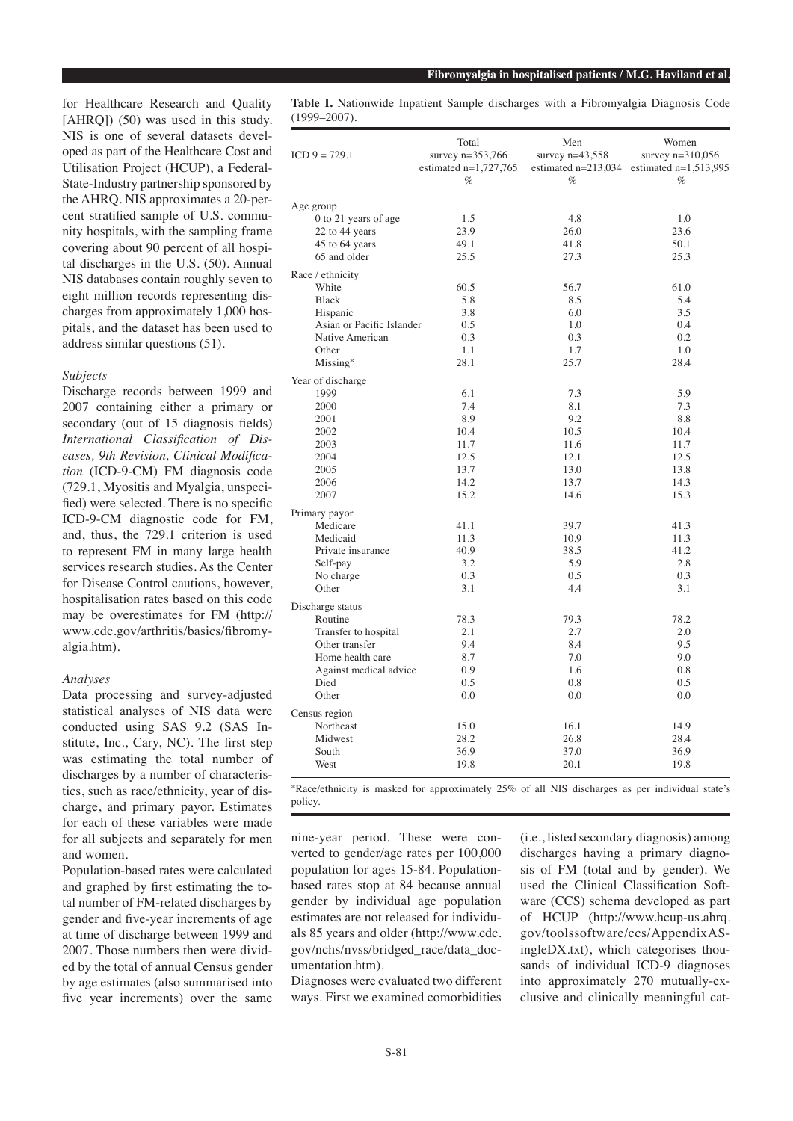for Healthcare Research and Quality [AHRO]) (50) was used in this study. NIS is one of several datasets developed as part of the Healthcare Cost and Utilisation Project (HCUP), a Federal-State-Industry partnership sponsored by the AHRQ. NIS approximates a 20-percent stratified sample of U.S. community hospitals, with the sampling frame covering about 90 percent of all hospital discharges in the U.S. (50). Annual NIS databases contain roughly seven to eight million records representing discharges from approximately 1,000 hospitals, and the dataset has been used to address similar questions (51).

# *Subjects*

Discharge records between 1999 and 2007 containing either a primary or secondary (out of 15 diagnosis fields) *International Classification of Diseases, 9th Revision, Clinical Modification* (ICD-9-CM) FM diagnosis code (729.1, Myositis and Myalgia, unspecified) were selected. There is no specific ICD-9-CM diagnostic code for FM, and, thus, the 729.1 criterion is used to represent FM in many large health services research studies. As the Center for Disease Control cautions, however, hospitalisation rates based on this code may be overestimates for FM (http:// www.cdc.gov/arthritis/basics/fibromyalgia.htm).

#### *Analyses*

Data processing and survey-adjusted statistical analyses of NIS data were conducted using SAS 9.2 (SAS Institute, Inc., Cary, NC). The first step was estimating the total number of discharges by a number of characteristics, such as race/ethnicity, year of discharge, and primary payor. Estimates for each of these variables were made for all subjects and separately for men and women.

Population-based rates were calculated and graphed by first estimating the total number of FM-related discharges by gender and five-year increments of age at time of discharge between 1999 and 2007. Those numbers then were divided by the total of annual Census gender by age estimates (also summarised into five year increments) over the same

**Table I.** Nationwide Inpatient Sample discharges with a Fibromyalgia Diagnosis Code (1999–2007).

| $ICD 9 = 729.1$           | Total<br>survey $n = 353,766$<br>estimated $n=1,727,765$<br>$\%$ | Men<br>survey $n=43,558$<br>$\%$ | Women<br>survey $n=310,056$<br>estimated $n=213,034$ estimated $n=1,513,995$<br>$\%$ |  |  |
|---------------------------|------------------------------------------------------------------|----------------------------------|--------------------------------------------------------------------------------------|--|--|
| Age group                 |                                                                  |                                  |                                                                                      |  |  |
| 0 to 21 years of age      | 1.5                                                              | 4.8                              | 1.0                                                                                  |  |  |
| 22 to 44 years            | 23.9                                                             | 26.0                             | 23.6                                                                                 |  |  |
| 45 to 64 years            | 49.1                                                             | 41.8                             | 50.1                                                                                 |  |  |
| 65 and older              | 25.5                                                             | 27.3                             | 25.3                                                                                 |  |  |
| Race / ethnicity          |                                                                  |                                  |                                                                                      |  |  |
| White                     | 60.5                                                             | 56.7                             | 61.0                                                                                 |  |  |
| <b>Black</b>              | 5.8                                                              | 8.5                              | 5.4                                                                                  |  |  |
| Hispanic                  | 3.8                                                              | 6.0                              | 3.5                                                                                  |  |  |
| Asian or Pacific Islander | 0.5                                                              | 1.0                              | 0.4                                                                                  |  |  |
| Native American           | 0.3                                                              | 0.3                              | 0.2                                                                                  |  |  |
| Other                     | 1.1                                                              | 1.7                              | 1.0                                                                                  |  |  |
| $Missing*$                | 28.1                                                             | 25.7                             | 28.4                                                                                 |  |  |
| Year of discharge         |                                                                  |                                  |                                                                                      |  |  |
| 1999                      | 6.1                                                              | 7.3                              | 5.9                                                                                  |  |  |
| 2000                      | 7.4                                                              | 8.1                              | 7.3                                                                                  |  |  |
| 2001                      | 8.9                                                              | 9.2                              | 8.8                                                                                  |  |  |
| 2002                      | 10.4                                                             | 10.5                             | 10.4                                                                                 |  |  |
| 2003                      | 11.7                                                             | 11.6                             | 11.7                                                                                 |  |  |
| 2004                      | 12.5                                                             | 12.1                             | 12.5                                                                                 |  |  |
| 2005                      | 13.7                                                             | 13.0                             | 13.8                                                                                 |  |  |
| 2006                      | 14.2                                                             | 13.7                             | 14.3                                                                                 |  |  |
| 2007                      | 15.2                                                             | 14.6                             | 15.3                                                                                 |  |  |
| Primary payor             |                                                                  |                                  |                                                                                      |  |  |
| Medicare                  | 41.1                                                             | 39.7                             | 41.3                                                                                 |  |  |
| Medicaid                  | 11.3                                                             | 10.9                             | 11.3                                                                                 |  |  |
| Private insurance         | 40.9                                                             | 38.5                             | 41.2                                                                                 |  |  |
| Self-pay                  | 3.2                                                              | 5.9                              | 2.8                                                                                  |  |  |
| No charge                 | 0.3                                                              | 0.5                              | 0.3                                                                                  |  |  |
| Other                     | 3.1                                                              | 4.4                              | 3.1                                                                                  |  |  |
| Discharge status          |                                                                  |                                  |                                                                                      |  |  |
| Routine                   | 78.3                                                             | 79.3                             | 78.2                                                                                 |  |  |
| Transfer to hospital      | 2.1                                                              | 2.7                              | 2.0                                                                                  |  |  |
| Other transfer            | 9.4                                                              | 8.4                              | 9.5                                                                                  |  |  |
| Home health care          | 8.7                                                              | 7.0                              | 9.0                                                                                  |  |  |
| Against medical advice    | 0.9                                                              | 1.6                              | 0.8                                                                                  |  |  |
| Died                      | 0.5                                                              | 0.8                              | 0.5                                                                                  |  |  |
| Other                     | 0.0                                                              | 0.0                              | 0.0                                                                                  |  |  |
| Census region             |                                                                  |                                  |                                                                                      |  |  |
| Northeast                 | 15.0                                                             | 16.1                             | 14.9                                                                                 |  |  |
| Midwest                   | 28.2                                                             | 26.8                             | 28.4                                                                                 |  |  |
| South                     | 36.9                                                             | 37.0                             | 36.9                                                                                 |  |  |
| West                      | 19.8                                                             | 20.1                             | 19.8                                                                                 |  |  |
|                           |                                                                  |                                  |                                                                                      |  |  |

\*Race/ethnicity is masked for approximately 25% of all NIS discharges as per individual state's policy.

nine-year period. These were converted to gender/age rates per 100,000 population for ages 15-84. Populationbased rates stop at 84 because annual gender by individual age population estimates are not released for individuals 85 years and older (http://www.cdc. gov/nchs/nvss/bridged\_race/data\_documentation.htm).

Diagnoses were evaluated two different ways. First we examined comorbidities

(i.e., listed secondary diagnosis) among discharges having a primary diagnosis of FM (total and by gender). We used the Clinical Classification Software (CCS) schema developed as part of HCUP (http://www.hcup-us.ahrq. gov/toolssoftware/ccs/AppendixASingleDX.txt), which categorises thousands of individual ICD-9 diagnoses into approximately 270 mutually-exclusive and clinically meaningful cat-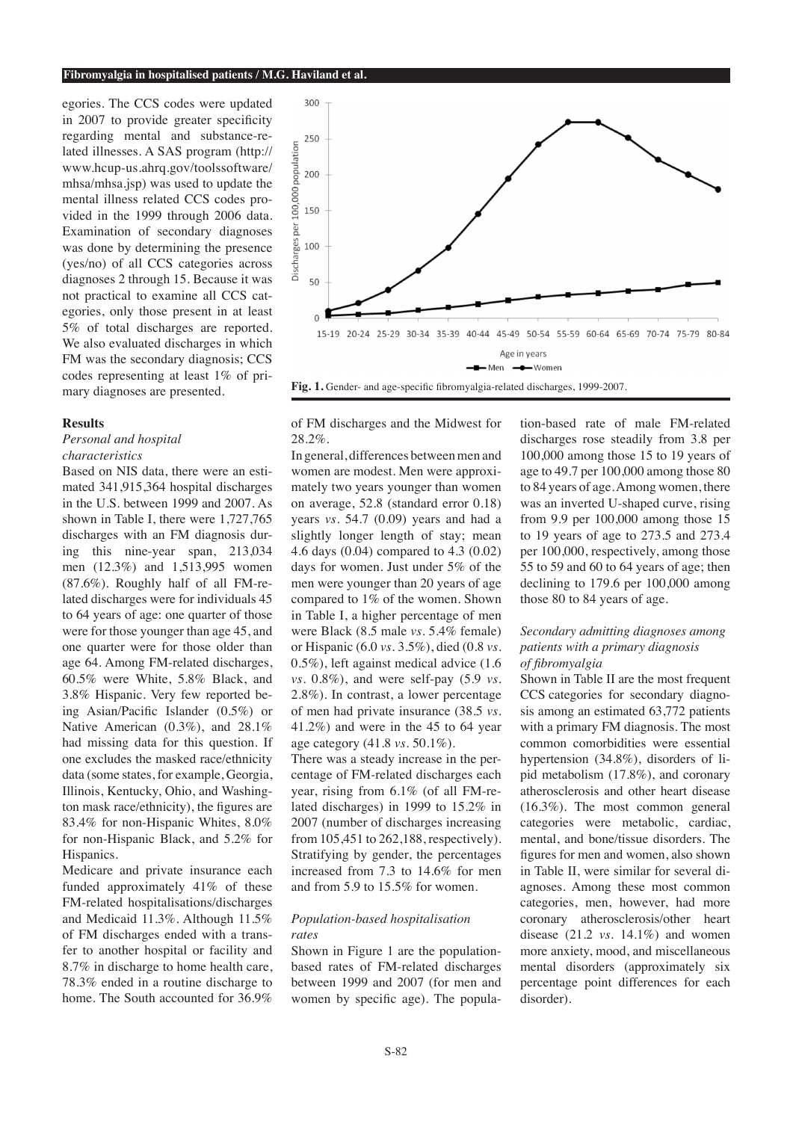egories. The CCS codes were updated in 2007 to provide greater specificity regarding mental and substance-related illnesses. A SAS program (http:// www.hcup-us.ahrq.gov/toolssoftware/ mhsa/mhsa.jsp) was used to update the mental illness related CCS codes provided in the 1999 through 2006 data. Examination of secondary diagnoses was done by determining the presence (yes/no) of all CCS categories across diagnoses 2 through 15. Because it was not practical to examine all CCS categories, only those present in at least 5% of total discharges are reported. We also evaluated discharges in which FM was the secondary diagnosis; CCS codes representing at least 1% of primary diagnoses are presented.

#### **Results**

*Personal and hospital characteristics*

Based on NIS data, there were an estimated 341,915,364 hospital discharges in the U.S. between 1999 and 2007. As shown in Table I, there were 1,727,765 discharges with an FM diagnosis during this nine-year span, 213,034 men (12.3%) and 1,513,995 women (87.6%). Roughly half of all FM-related discharges were for individuals 45 to 64 years of age: one quarter of those were for those younger than age 45, and one quarter were for those older than age 64. Among FM-related discharges, 60.5% were White, 5.8% Black, and 3.8% Hispanic. Very few reported being Asian/Pacific Islander (0.5%) or Native American (0.3%), and 28.1% had missing data for this question. If one excludes the masked race/ethnicity data (some states, for example, Georgia, Illinois, Kentucky, Ohio, and Washington mask race/ethnicity), the figures are 83.4% for non-Hispanic Whites, 8.0% for non-Hispanic Black, and 5.2% for Hispanics.

Medicare and private insurance each funded approximately 41% of these FM-related hospitalisations/discharges and Medicaid 11.3%. Although 11.5% of FM discharges ended with a transfer to another hospital or facility and 8.7% in discharge to home health care, 78.3% ended in a routine discharge to home. The South accounted for 36.9%



of FM discharges and the Midwest for 28.2%.

In general, differences between men and women are modest. Men were approximately two years younger than women on average, 52.8 (standard error 0.18) years *vs.* 54.7 (0.09) years and had a slightly longer length of stay; mean 4.6 days (0.04) compared to 4.3 (0.02) days for women. Just under 5% of the men were younger than 20 years of age compared to 1% of the women. Shown in Table I, a higher percentage of men were Black (8.5 male *vs.* 5.4% female) or Hispanic (6.0 *vs.* 3.5%), died (0.8 *vs*. 0.5%), left against medical advice (1.6 *vs.* 0.8%), and were self-pay (5.9 *vs.*  2.8%). In contrast, a lower percentage of men had private insurance (38.5 *vs.*  41.2%) and were in the 45 to 64 year age category (41.8 *vs*. 50.1%).

There was a steady increase in the percentage of FM-related discharges each year, rising from 6.1% (of all FM-related discharges) in 1999 to 15.2% in 2007 (number of discharges increasing from 105,451 to 262,188, respectively). Stratifying by gender, the percentages increased from 7.3 to 14.6% for men and from 5.9 to 15.5% for women.

# *Population-based hospitalisation rates*

Shown in Figure 1 are the populationbased rates of FM-related discharges between 1999 and 2007 (for men and women by specific age). The population-based rate of male FM-related discharges rose steadily from 3.8 per 100,000 among those 15 to 19 years of age to 49.7 per 100,000 among those 80 to 84 years of age. Among women, there was an inverted U-shaped curve, rising from 9.9 per 100,000 among those 15 to 19 years of age to 273.5 and 273.4 per 100,000, respectively, among those 55 to 59 and 60 to 64 years of age; then declining to 179.6 per 100,000 among those 80 to 84 years of age.

# *Secondary admitting diagnoses among patients with a primary diagnosis of fibromyalgia*

Shown in Table II are the most frequent CCS categories for secondary diagnosis among an estimated 63,772 patients with a primary FM diagnosis. The most common comorbidities were essential hypertension (34.8%), disorders of lipid metabolism (17.8%), and coronary atherosclerosis and other heart disease (16.3%). The most common general categories were metabolic, cardiac, mental, and bone/tissue disorders. The figures for men and women, also shown in Table II, were similar for several diagnoses. Among these most common categories, men, however, had more coronary atherosclerosis/other heart disease (21.2 *vs*. 14.1%) and women more anxiety, mood, and miscellaneous mental disorders (approximately six percentage point differences for each disorder).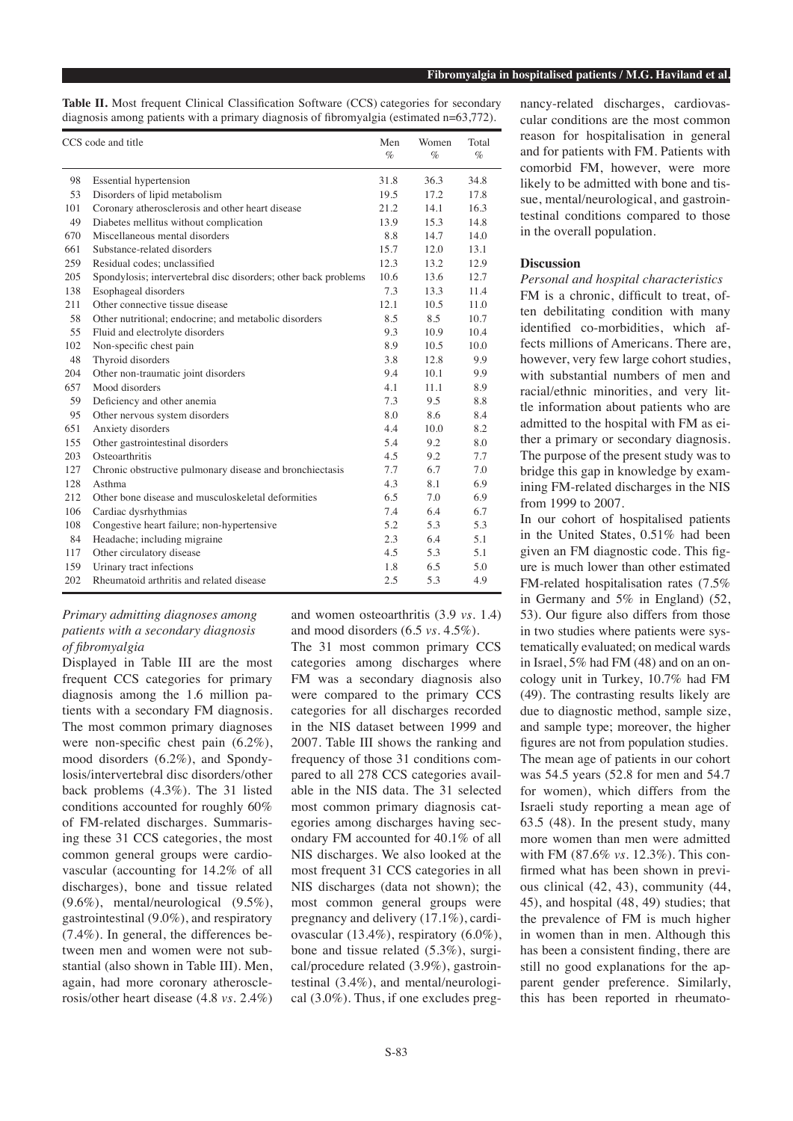| Table II. Most frequent Clinical Classification Software (CCS) categories for secondary    |  |  |  |
|--------------------------------------------------------------------------------------------|--|--|--|
| diagnosis among patients with a primary diagnosis of fibromyalgia (estimated $n=63,772$ ). |  |  |  |

| CCS code and title |                                                                 | Men<br>$\%$ | Women<br>$\%$ | Total<br>$\%$ |
|--------------------|-----------------------------------------------------------------|-------------|---------------|---------------|
| 98                 | Essential hypertension                                          | 31.8        | 36.3          | 34.8          |
| 53                 | Disorders of lipid metabolism                                   | 19.5        | 17.2          | 17.8          |
| 101                | Coronary atherosclerosis and other heart disease                | 21.2        | 14.1          | 16.3          |
| 49                 | Diabetes mellitus without complication                          | 13.9        | 15.3          | 14.8          |
| 670                | Miscellaneous mental disorders                                  | 8.8         | 14.7          | 14.0          |
| 661                | Substance-related disorders                                     | 15.7        | 12.0          | 13.1          |
| 259                | Residual codes; unclassified                                    | 12.3        | 13.2          | 12.9          |
| 205                | Spondylosis; intervertebral disc disorders; other back problems | 10.6        | 13.6          | 12.7          |
| 138                | Esophageal disorders                                            | 7.3         | 13.3          | 11.4          |
| 211                | Other connective tissue disease                                 | 12.1        | 10.5          | 11.0          |
| 58                 | Other nutritional; endocrine; and metabolic disorders           | 8.5         | 8.5           | 10.7          |
| 55                 | Fluid and electrolyte disorders                                 | 9.3         | 10.9          | 10.4          |
| 102                | Non-specific chest pain                                         | 8.9         | 10.5          | 10.0          |
| 48                 | Thyroid disorders                                               | 3.8         | 12.8          | 9.9           |
| 204                | Other non-traumatic joint disorders                             | 9.4         | 10.1          | 9.9           |
| 657                | Mood disorders                                                  | 4.1         | 11.1          | 8.9           |
| 59                 | Deficiency and other anemia                                     | 7.3         | 9.5           | 8.8           |
| 95                 | Other nervous system disorders                                  | 8.0         | 8.6           | 8.4           |
| 651                | Anxiety disorders                                               | 4.4         | 10.0          | 8.2           |
| 155                | Other gastrointestinal disorders                                | 5.4         | 9.2           | 8.0           |
| 203                | Osteoarthritis                                                  | 4.5         | 9.2           | 7.7           |
| 127                | Chronic obstructive pulmonary disease and bronchiectasis        | 7.7         | 6.7           | 7.0           |
| 128                | Asthma                                                          | 4.3         | 8.1           | 6.9           |
| 212                | Other bone disease and musculoskeletal deformities              | 6.5         | 7.0           | 6.9           |
| 106                | Cardiac dysrhythmias                                            | 7.4         | 6.4           | 6.7           |
| 108                | Congestive heart failure; non-hypertensive                      | 5.2         | 5.3           | 5.3           |
| 84                 | Headache; including migraine                                    | 2.3         | 6.4           | 5.1           |
| 117                | Other circulatory disease                                       | 4.5         | 5.3           | 5.1           |
| 159                | Urinary tract infections                                        | 1.8         | 6.5           | 5.0           |
| 202                | Rheumatoid arthritis and related disease                        | 2.5         | 5.3           | 4.9           |

# *Primary admitting diagnoses among patients with a secondary diagnosis of fibromyalgia*

Displayed in Table III are the most frequent CCS categories for primary diagnosis among the 1.6 million patients with a secondary FM diagnosis. The most common primary diagnoses were non-specific chest pain (6.2%), mood disorders (6.2%), and Spondylosis/intervertebral disc disorders/other back problems (4.3%). The 31 listed conditions accounted for roughly 60% of FM-related discharges. Summarising these 31 CCS categories, the most common general groups were cardiovascular (accounting for 14.2% of all discharges), bone and tissue related (9.6%), mental/neurological (9.5%), gastrointestinal (9.0%), and respiratory (7.4%). In general, the differences between men and women were not substantial (also shown in Table III). Men, again, had more coronary atherosclerosis/other heart disease (4.8 *vs.* 2.4%)

and women osteoarthritis (3.9 *vs.* 1.4) and mood disorders (6.5 *vs.* 4.5%).

The 31 most common primary CCS categories among discharges where FM was a secondary diagnosis also were compared to the primary CCS categories for all discharges recorded in the NIS dataset between 1999 and 2007. Table III shows the ranking and frequency of those 31 conditions compared to all 278 CCS categories available in the NIS data. The 31 selected most common primary diagnosis categories among discharges having secondary FM accounted for 40.1% of all NIS discharges. We also looked at the most frequent 31 CCS categories in all NIS discharges (data not shown); the most common general groups were pregnancy and delivery (17.1%), cardiovascular (13.4%), respiratory (6.0%), bone and tissue related (5.3%), surgical/procedure related (3.9%), gastrointestinal (3.4%), and mental/neurological (3.0%). Thus, if one excludes pregnancy-related discharges, cardiovascular conditions are the most common reason for hospitalisation in general and for patients with FM. Patients with comorbid FM, however, were more likely to be admitted with bone and tissue, mental/neurological, and gastrointestinal conditions compared to those in the overall population.

#### **Discussion**

*Personal and hospital characteristics*

FM is a chronic, difficult to treat, often debilitating condition with many identified co-morbidities, which affects millions of Americans. There are, however, very few large cohort studies, with substantial numbers of men and racial/ethnic minorities, and very little information about patients who are admitted to the hospital with FM as either a primary or secondary diagnosis. The purpose of the present study was to bridge this gap in knowledge by examining FM-related discharges in the NIS from 1999 to 2007.

In our cohort of hospitalised patients in the United States, 0.51% had been given an FM diagnostic code. This figure is much lower than other estimated FM-related hospitalisation rates (7.5% in Germany and 5% in England) (52, 53). Our figure also differs from those in two studies where patients were systematically evaluated; on medical wards in Israel, 5% had FM (48) and on an oncology unit in Turkey, 10.7% had FM (49). The contrasting results likely are due to diagnostic method, sample size, and sample type; moreover, the higher figures are not from population studies. The mean age of patients in our cohort was 54.5 years (52.8 for men and 54.7 for women), which differs from the Israeli study reporting a mean age of 63.5 (48). In the present study, many more women than men were admitted with FM (87.6% *vs*. 12.3%). This confirmed what has been shown in previous clinical (42, 43), community (44, 45), and hospital (48, 49) studies; that the prevalence of FM is much higher in women than in men. Although this has been a consistent finding, there are still no good explanations for the apparent gender preference. Similarly, this has been reported in rheumato-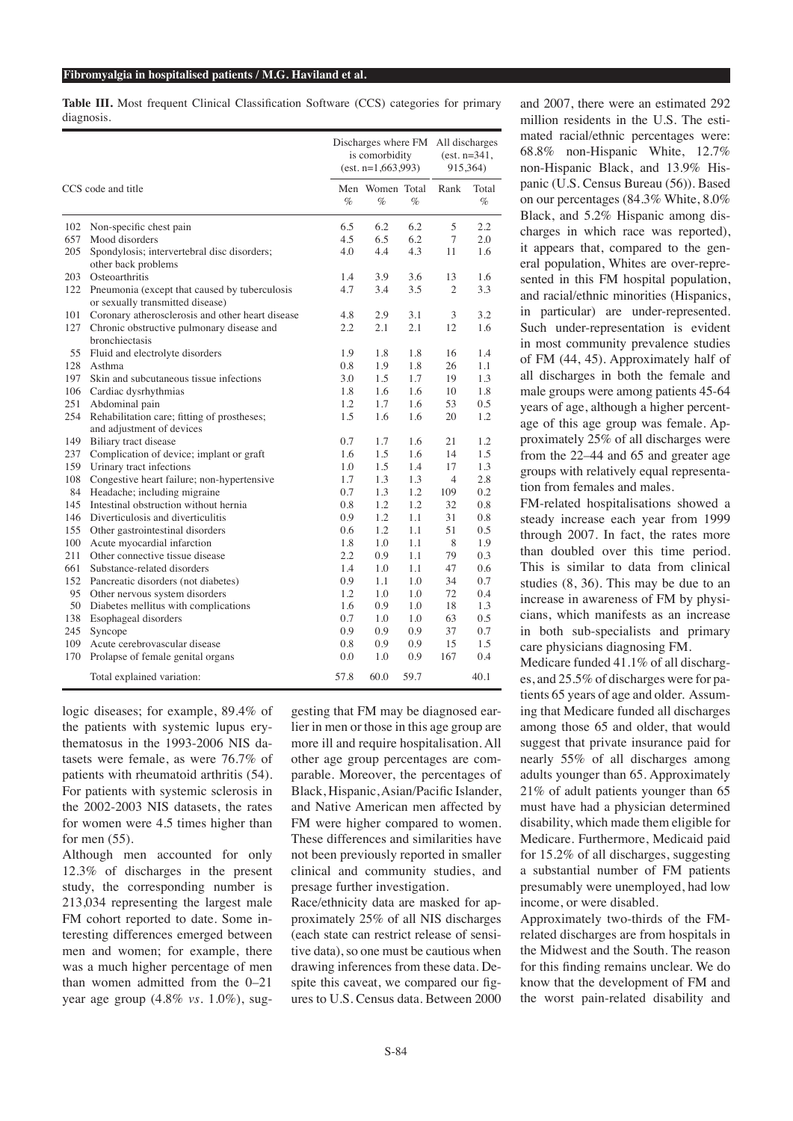**Table III.** Most frequent Clinical Classification Software (CCS) categories for primary diagnosis.

|                    |                                                                                   |      | Discharges where FM<br>is comorbidity<br>$(est. n=1, 663, 993)$ |      |                | All discharges<br>$(est. n=341,$<br>915,364) |  |
|--------------------|-----------------------------------------------------------------------------------|------|-----------------------------------------------------------------|------|----------------|----------------------------------------------|--|
| CCS code and title |                                                                                   | $\%$ | Men Women Total<br>$\%$                                         | $\%$ | Rank           | Total<br>$\%$                                |  |
| 102                | Non-specific chest pain                                                           | 6.5  | 6.2                                                             | 6.2  | 5              | 2.2                                          |  |
| 657                | Mood disorders                                                                    | 4.5  | 6.5                                                             | 6.2  | 7              | 2.0                                          |  |
| 205                | Spondylosis; intervertebral disc disorders;<br>other back problems                | 4.0  | 4.4                                                             | 4.3  | 11             | 1.6                                          |  |
| 203                | Osteoarthritis                                                                    | 1.4  | 3.9                                                             | 3.6  | 13             | 1.6                                          |  |
| 122                | Pneumonia (except that caused by tuberculosis<br>or sexually transmitted disease) | 4.7  | 3.4                                                             | 3.5  | $\overline{2}$ | 3.3                                          |  |
| 101                | Coronary atherosclerosis and other heart disease                                  | 4.8  | 2.9                                                             | 3.1  | 3              | 3.2                                          |  |
| 127                | Chronic obstructive pulmonary disease and<br>bronchiectasis                       | 2.2  | 2.1                                                             | 2.1  | 12             | 1.6                                          |  |
| 55                 | Fluid and electrolyte disorders                                                   | 1.9  | 1.8                                                             | 1.8  | 16             | 1.4                                          |  |
| 128                | Asthma                                                                            | 0.8  | 1.9                                                             | 1.8  | 26             | 1.1                                          |  |
| 197                | Skin and subcutaneous tissue infections                                           | 3.0  | 1.5                                                             | 1.7  | 19             | 1.3                                          |  |
| 106                | Cardiac dysrhythmias                                                              | 1.8  | 1.6                                                             | 1.6  | 10             | 1.8                                          |  |
| 251                | Abdominal pain                                                                    | 1.2  | 1.7                                                             | 1.6  | 53             | 0.5                                          |  |
| 254                | Rehabilitation care; fitting of prostheses;<br>and adjustment of devices          | 1.5  | 1.6                                                             | 1.6  | 20             | 1.2                                          |  |
| 149                | Biliary tract disease                                                             | 0.7  | 1.7                                                             | 1.6  | 21             | 1.2                                          |  |
| 237                | Complication of device; implant or graft                                          | 1.6  | 1.5                                                             | 1.6  | 14             | 1.5                                          |  |
| 159                | Urinary tract infections                                                          | 1.0  | 1.5                                                             | 1.4  | 17             | 1.3                                          |  |
| 108                | Congestive heart failure; non-hypertensive                                        | 1.7  | 1.3                                                             | 1.3  | 4              | 2.8                                          |  |
| 84                 | Headache; including migraine                                                      | 0.7  | 1.3                                                             | 1.2  | 109            | 0.2                                          |  |
| 145                | Intestinal obstruction without hernia                                             | 0.8  | 1.2                                                             | 1.2  | 32             | 0.8                                          |  |
| 146                | Diverticulosis and diverticulitis                                                 | 0.9  | 1.2                                                             | 1.1  | 31             | 0.8                                          |  |
| 155                | Other gastrointestinal disorders                                                  | 0.6  | 1.2                                                             | 1.1  | 51             | 0.5                                          |  |
| 100                | Acute myocardial infarction                                                       | 1.8  | 1.0                                                             | 1.1  | 8              | 1.9                                          |  |
| 211                | Other connective tissue disease                                                   | 2.2  | 0.9                                                             | 1.1  | 79             | 0.3                                          |  |
| 661                | Substance-related disorders                                                       | 1.4  | 1.0                                                             | 1.1  | 47             | 0.6                                          |  |
| 152                | Pancreatic disorders (not diabetes)                                               | 0.9  | 1.1                                                             | 1.0  | 34             | 0.7                                          |  |
| 95                 | Other nervous system disorders                                                    | 1.2  | 1.0                                                             | 1.0  | 72             | 0.4                                          |  |
| 50                 | Diabetes mellitus with complications                                              | 1.6  | 0.9                                                             | 1.0  | 18             | 1.3                                          |  |
| 138                | Esophageal disorders                                                              | 0.7  | 1.0                                                             | 1.0  | 63             | 0.5                                          |  |
| 245                | Syncope                                                                           | 0.9  | 0.9                                                             | 0.9  | 37             | 0.7                                          |  |
| 109                | Acute cerebrovascular disease                                                     | 0.8  | 0.9                                                             | 0.9  | 15             | 1.5                                          |  |
| 170                | Prolapse of female genital organs                                                 | 0.0  | 1.0                                                             | 0.9  | 167            | 0.4                                          |  |
|                    | Total explained variation:                                                        | 57.8 | 60.0                                                            | 59.7 |                | 40.1                                         |  |

logic diseases; for example, 89.4% of the patients with systemic lupus erythematosus in the 1993-2006 NIS datasets were female, as were 76.7% of patients with rheumatoid arthritis (54). For patients with systemic sclerosis in the 2002-2003 NIS datasets, the rates for women were 4.5 times higher than for men (55).

Although men accounted for only 12.3% of discharges in the present study, the corresponding number is 213,034 representing the largest male FM cohort reported to date. Some interesting differences emerged between men and women; for example, there was a much higher percentage of men than women admitted from the 0–21 year age group (4.8% *vs.* 1.0%), suggesting that FM may be diagnosed earlier in men or those in this age group are more ill and require hospitalisation. All other age group percentages are comparable. Moreover, the percentages of Black, Hispanic, Asian/Pacific Islander, and Native American men affected by FM were higher compared to women. These differences and similarities have not been previously reported in smaller clinical and community studies, and presage further investigation.

Race/ethnicity data are masked for approximately 25% of all NIS discharges (each state can restrict release of sensitive data), so one must be cautious when drawing inferences from these data. Despite this caveat, we compared our figures to U.S. Census data. Between 2000

and 2007, there were an estimated 292 million residents in the U.S. The estimated racial/ethnic percentages were: 68.8% non-Hispanic White, 12.7% non-Hispanic Black, and 13.9% Hispanic (U.S. Census Bureau (56)). Based on our percentages (84.3% White, 8.0% Black, and 5.2% Hispanic among discharges in which race was reported), it appears that, compared to the general population, Whites are over-represented in this FM hospital population, and racial/ethnic minorities (Hispanics, in particular) are under-represented. Such under-representation is evident in most community prevalence studies of FM (44, 45). Approximately half of all discharges in both the female and male groups were among patients 45-64 years of age, although a higher percentage of this age group was female. Approximately 25% of all discharges were from the 22–44 and 65 and greater age groups with relatively equal representation from females and males.

FM-related hospitalisations showed a steady increase each year from 1999 through 2007. In fact, the rates more than doubled over this time period. This is similar to data from clinical studies (8, 36). This may be due to an increase in awareness of FM by physicians, which manifests as an increase in both sub-specialists and primary care physicians diagnosing FM.

Medicare funded 41.1% of all discharges, and 25.5% of discharges were for patients 65 years of age and older. Assuming that Medicare funded all discharges among those 65 and older, that would suggest that private insurance paid for nearly 55% of all discharges among adults younger than 65. Approximately 21% of adult patients younger than 65 must have had a physician determined disability, which made them eligible for Medicare. Furthermore, Medicaid paid for 15.2% of all discharges, suggesting a substantial number of FM patients presumably were unemployed, had low income, or were disabled.

Approximately two-thirds of the FMrelated discharges are from hospitals in the Midwest and the South. The reason for this finding remains unclear. We do know that the development of FM and the worst pain-related disability and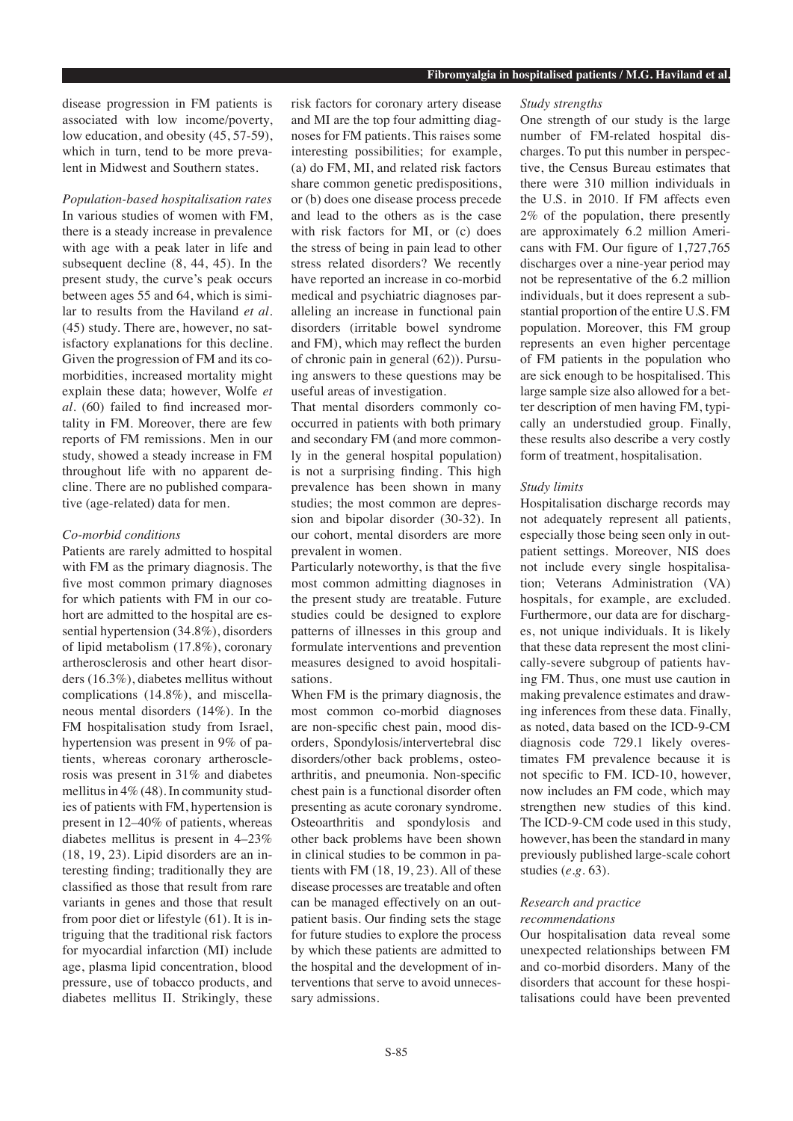disease progression in FM patients is associated with low income/poverty, low education, and obesity (45, 57-59), which in turn, tend to be more prevalent in Midwest and Southern states.

*Population-based hospitalisation rates* In various studies of women with FM, there is a steady increase in prevalence with age with a peak later in life and subsequent decline (8, 44, 45). In the present study, the curve's peak occurs between ages 55 and 64, which is similar to results from the Haviland *et al.* (45) study. There are, however, no satisfactory explanations for this decline. Given the progression of FM and its comorbidities, increased mortality might explain these data; however, Wolfe *et al.* (60) failed to find increased mortality in FM. Moreover, there are few reports of FM remissions. Men in our study, showed a steady increase in FM throughout life with no apparent decline. There are no published comparative (age-related) data for men.

#### *Co-morbid conditions*

Patients are rarely admitted to hospital with FM as the primary diagnosis. The five most common primary diagnoses for which patients with FM in our cohort are admitted to the hospital are essential hypertension (34.8%), disorders of lipid metabolism (17.8%), coronary artherosclerosis and other heart disorders (16.3%), diabetes mellitus without complications (14.8%), and miscellaneous mental disorders (14%). In the FM hospitalisation study from Israel, hypertension was present in 9% of patients, whereas coronary artherosclerosis was present in 31% and diabetes mellitus in 4% (48). In community studies of patients with FM, hypertension is present in 12–40% of patients, whereas diabetes mellitus is present in 4–23% (18, 19, 23). Lipid disorders are an interesting finding; traditionally they are classified as those that result from rare variants in genes and those that result from poor diet or lifestyle (61). It is intriguing that the traditional risk factors for myocardial infarction (MI) include age, plasma lipid concentration, blood pressure, use of tobacco products, and diabetes mellitus II. Strikingly, these

risk factors for coronary artery disease and MI are the top four admitting diagnoses for FM patients. This raises some interesting possibilities; for example, (a) do FM, MI, and related risk factors share common genetic predispositions, or (b) does one disease process precede and lead to the others as is the case with risk factors for MI, or (c) does the stress of being in pain lead to other stress related disorders? We recently have reported an increase in co-morbid medical and psychiatric diagnoses paralleling an increase in functional pain disorders (irritable bowel syndrome and FM), which may reflect the burden of chronic pain in general (62)). Pursuing answers to these questions may be useful areas of investigation.

That mental disorders commonly cooccurred in patients with both primary and secondary FM (and more commonly in the general hospital population) is not a surprising finding. This high prevalence has been shown in many studies; the most common are depression and bipolar disorder (30-32). In our cohort, mental disorders are more prevalent in women.

Particularly noteworthy, is that the five most common admitting diagnoses in the present study are treatable. Future studies could be designed to explore patterns of illnesses in this group and formulate interventions and prevention measures designed to avoid hospitalisations.

When FM is the primary diagnosis, the most common co-morbid diagnoses are non-specific chest pain, mood disorders, Spondylosis/intervertebral disc disorders/other back problems, osteoarthritis, and pneumonia. Non-specific chest pain is a functional disorder often presenting as acute coronary syndrome. Osteoarthritis and spondylosis and other back problems have been shown in clinical studies to be common in patients with FM (18, 19, 23). All of these disease processes are treatable and often can be managed effectively on an outpatient basis. Our finding sets the stage for future studies to explore the process by which these patients are admitted to the hospital and the development of interventions that serve to avoid unnecessary admissions.

#### *Study strengths*

One strength of our study is the large number of FM-related hospital discharges. To put this number in perspective, the Census Bureau estimates that there were 310 million individuals in the U.S. in 2010. If FM affects even 2% of the population, there presently are approximately 6.2 million Americans with FM. Our figure of 1,727,765 discharges over a nine-year period may not be representative of the 6.2 million individuals, but it does represent a substantial proportion of the entire U.S. FM population. Moreover, this FM group represents an even higher percentage of FM patients in the population who are sick enough to be hospitalised. This large sample size also allowed for a better description of men having FM, typically an understudied group. Finally, these results also describe a very costly form of treatment, hospitalisation.

#### *Study limits*

Hospitalisation discharge records may not adequately represent all patients, especially those being seen only in outpatient settings. Moreover, NIS does not include every single hospitalisation; Veterans Administration (VA) hospitals, for example, are excluded. Furthermore, our data are for discharges, not unique individuals. It is likely that these data represent the most clinically-severe subgroup of patients having FM. Thus, one must use caution in making prevalence estimates and drawing inferences from these data. Finally, as noted, data based on the ICD-9-CM diagnosis code 729.1 likely overestimates FM prevalence because it is not specific to FM. ICD-10, however, now includes an FM code, which may strengthen new studies of this kind. The ICD-9-CM code used in this study, however, has been the standard in many previously published large-scale cohort studies (*e.g*. 63).

# *Research and practice recommendations*

Our hospitalisation data reveal some unexpected relationships between FM and co-morbid disorders. Many of the disorders that account for these hospitalisations could have been prevented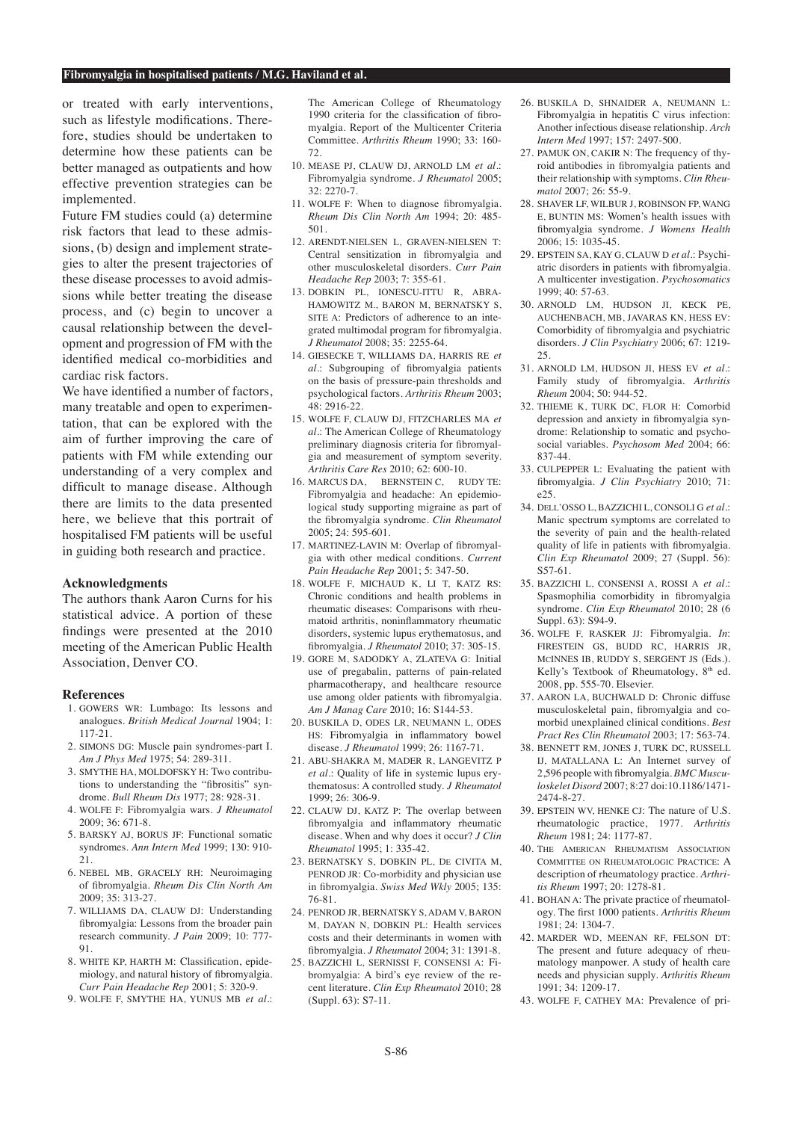or treated with early interventions, such as lifestyle modifications. Therefore, studies should be undertaken to determine how these patients can be better managed as outpatients and how effective prevention strategies can be implemented.

Future FM studies could (a) determine risk factors that lead to these admissions, (b) design and implement strategies to alter the present trajectories of these disease processes to avoid admissions while better treating the disease process, and (c) begin to uncover a causal relationship between the development and progression of FM with the identified medical co-morbidities and cardiac risk factors.

We have identified a number of factors, many treatable and open to experimentation, that can be explored with the aim of further improving the care of patients with FM while extending our understanding of a very complex and difficult to manage disease. Although there are limits to the data presented here, we believe that this portrait of hospitalised FM patients will be useful in guiding both research and practice.

#### **Acknowledgments**

The authors thank Aaron Curns for his statistical advice. A portion of these findings were presented at the 2010 meeting of the American Public Health Association, Denver CO.

#### **References**

- 1. GOWERS WR: Lumbago: Its lessons and analogues. *British Medical Journal* 1904; 1: 117-21.
- 2. SIMONS DG: Muscle pain syndromes-part I. *Am J Phys Med* 1975; 54: 289-311.
- 3. SMYTHE HA, MOLDOFSKY H: Two contributions to understanding the "fibrositis" syndrome. *Bull Rheum Dis* 1977; 28: 928-31.
- 4. WOLFE F: Fibromyalgia wars. *J Rheumatol*  $2009 \cdot 36: 671 - 8$ .
- 5. BARSKY AJ, BORUS JF: Functional somatic syndromes. *Ann Intern Med* 1999; 130: 910-  $21$
- 6. NEBEL MB, GRACELY RH: Neuroimaging of fibromyalgia. *Rheum Dis Clin North Am*  $2009 \cdot 35: 313 - 27$ .
- 7. WILLIAMS DA, CLAUW DJ: Understanding fibromyalgia: Lessons from the broader pain research community. *J Pain* 2009; 10: 777- 91.
- 8. WHITE KP, HARTH M: Classification, epidemiology, and natural history of fibromyalgia. *Curr Pain Headache Rep* 2001; 5: 320-9.
- 9. WOLFE F, SMYTHE HA, YUNUS MB *et al.*:

The American College of Rheumatology 1990 criteria for the classification of fibromyalgia. Report of the Multicenter Criteria Committee. *Arthritis Rheum* 1990; 33: 160- 72.

- 10. MEASE PJ, CLAUW DJ, ARNOLD LM *et al.*: Fibromyalgia syndrome. *J Rheumatol* 2005; 32: 2270-7.
- 11. WOLFE F: When to diagnose fibromyalgia. *Rheum Dis Clin North Am* 1994; 20: 485- 501.
- 12. ARENDT-NIELSEN L, GRAVEN-NIELSEN T: Central sensitization in fibromyalgia and other musculoskeletal disorders. *Curr Pain Headache Rep* 2003; 7: 355-61.
- 13. DOBKIN PL, IONESCU-ITTU R, ABRA-HAMOWITZ M., BARON M, BERNATSKY S, SITE A: Predictors of adherence to an integrated multimodal program for fibromyalgia. *J Rheumatol* 2008; 35: 2255-64.
- 14. GIESECKE T, WILLIAMS DA, HARRIS RE *et al.*: Subgrouping of fibromyalgia patients on the basis of pressure-pain thresholds and psychological factors. *Arthritis Rheum* 2003;  $48.2916222$
- 15. WOLFE F, CLAUW DJ, FITZCHARLES MA *et al.*: The American College of Rheumatology preliminary diagnosis criteria for fibromyalgia and measurement of symptom severity. *Arthritis Care Res* 2010; 62: 600-10.
- 16. MARCUS DA, BERNSTEIN C, RUDY TE: Fibromyalgia and headache: An epidemiological study supporting migraine as part of the fibromyalgia syndrome. *Clin Rheumatol* 2005; 24: 595-601.
- 17. MARTINEZ-LAVIN M: Overlap of fibromyalgia with other medical conditions. *Current Pain Headache Rep* 2001; 5: 347-50.
- 18. WOLFE F, MICHAUD K, LI T, KATZ RS: Chronic conditions and health problems in rheumatic diseases: Comparisons with rheumatoid arthritis, noninflammatory rheumatic disorders, systemic lupus erythematosus, and fibromyalgia. *J Rheumatol* 2010; 37: 305-15.
- 19. GORE M, SADODKY A, ZLATEVA G: Initial use of pregabalin, patterns of pain-related pharmacotherapy, and healthcare resource use among older patients with fibromyalgia. *Am J Manag Care* 2010; 16: S144-53.
- 20. BUSKILA D, ODES LR, NEUMANN L, ODES HS: Fibromyalgia in inflammatory bowel disease. *J Rheumatol* 1999; 26: 1167-71.
- 21. ABU-SHAKRA M, MADER R, LANGEVITZ P *et al.*: Quality of life in systemic lupus erythematosus: A controlled study. *J Rheumatol* 1999; 26: 306-9.
- 22. CLAUW DJ, KATZ P: The overlap between fibromyalgia and inflammatory rheumatic disease. When and why does it occur? *J Clin Rheumatol* 1995; 1: 335-42.
- 23. BERNATSKY S, DOBKIN PL, DE CIVITA M, PENROD JR: Co-morbidity and physician use in fibromyalgia. *Swiss Med Wkly* 2005; 135: 76-81.
- 24. PENROD JR, BERNATSKY S, ADAM V, BARON M, DAYAN N, DOBKIN PL: Health services costs and their determinants in women with fibromyalgia. *J Rheumatol* 2004; 31: 1391-8.
- 25. BAZZICHI L, SERNISSI F, CONSENSI A: Fibromyalgia: A bird's eye review of the recent literature. *Clin Exp Rheumatol* 2010; 28 (Suppl. 63): S7-11.
- 26. BUSKILA D, SHNAIDER A, NEUMANN L: Fibromyalgia in hepatitis C virus infection: Another infectious disease relationship. *Arch Intern Med* 1997; 157: 2497-500.
- 27. PAMUK ON, CAKIR N: The frequency of thyroid antibodies in fibromyalgia patients and their relationship with symptoms. *Clin Rheumatol* 2007; 26: 55-9.
- 28. SHAVER LF, WILBUR J, ROBINSON FP, WANG E, BUNTIN MS: Women's health issues with fibromyalgia syndrome. *J Womens Health*  2006; 15: 1035-45.
- 29. EPSTEIN SA, KAY G, CLAUW D *et al.*: Psychiatric disorders in patients with fibromyalgia. A multicenter investigation. *Psychosomatics*  $1999 \cdot 40: 57-63$ .
- 30. ARNOLD LM, HUDSON JI, KECK PE, AUCHENBACH, MB, JAVARAS KN, HESS EV: Comorbidity of fibromyalgia and psychiatric disorders. *J Clin Psychiatry* 2006; 67: 1219- 25.
- 31. ARNOLD LM, HUDSON JI, HESS EV *et al.*: Family study of fibromyalgia. *Arthritis Rheum* 2004; 50: 944-52.
- 32. THIEME K, TURK DC, FLOR H: Comorbid depression and anxiety in fibromyalgia syndrome: Relationship to somatic and psychosocial variables. *Psychosom Med* 2004; 66: 837-44.
- 33. CULPEPPER L: Evaluating the patient with fibromyalgia. *J Clin Psychiatry* 2010; 71:  $e25$
- 34. DELL'OSSO L, BAZZICHI L, CONSOLI G *et al.*: Manic spectrum symptoms are correlated to the severity of pain and the health-related quality of life in patients with fibromyalgia. *Clin Exp Rheumatol* 2009; 27 (Suppl. 56): S57-61.
- 35. BAZZICHI L, CONSENSI A, ROSSI A *et al.*: Spasmophilia comorbidity in fibromyalgia syndrome. *Clin Exp Rheumatol* 2010; 28 (6 Suppl. 63): S94-9.
- 36. WOLFE F, RASKER JJ: Fibromyalgia. *In*: FIRESTEIN GS, BUDD RC, HARRIS JR, MCINNES IB, RUDDY S, SERGENT JS (Eds.). Kelly's Textbook of Rheumatology, 8<sup>th</sup> ed. 2008, pp. 555-70. Elsevier.
- 37. AARON LA, BUCHWALD D: Chronic diffuse musculoskeletal pain, fibromyalgia and comorbid unexplained clinical conditions. *Best Pract Res Clin Rheumatol* 2003; 17: 563-74.
- 38. BENNETT RM, JONES J, TURK DC, RUSSELL IJ, MATALLANA L: An Internet survey of 2,596 people with fibromyalgia. *BMC Musculoskelet Disord* 2007; 8:27 doi:10.1186/1471- 2474-8-27.
- 39. EPSTEIN WV, HENKE CJ: The nature of U.S. rheumatologic practice, 1977. *Arthritis Rheum* 1981; 24: 1177-87.
- 40. THE AMERICAN RHEUMATISM ASSOCIATION COMMITTEE ON RHEUMATOLOGIC PRACTICE: A description of rheumatology practice. *Arthritis Rheum* 1997; 20: 1278-81.
- 41. BOHAN A: The private practice of rheumatology. The first 1000 patients. *Arthritis Rheum* 1981; 24: 1304-7.
- 42. MARDER WD, MEENAN RF, FELSON DT: The present and future adequacy of rheumatology manpower. A study of health care needs and physician supply. *Arthritis Rheum*  $1991: 34: 1209-17$
- 43. WOLFE F, CATHEY MA: Prevalence of pri-